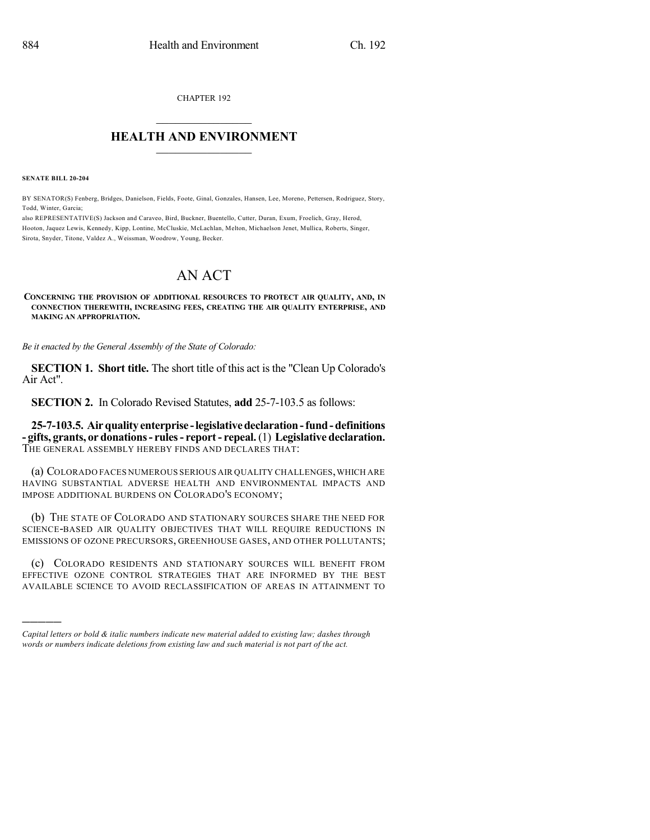CHAPTER 192

## $\overline{\phantom{a}}$  . The set of the set of the set of the set of the set of the set of the set of the set of the set of the set of the set of the set of the set of the set of the set of the set of the set of the set of the set o **HEALTH AND ENVIRONMENT**  $\_$

**SENATE BILL 20-204**

)))))

BY SENATOR(S) Fenberg, Bridges, Danielson, Fields, Foote, Ginal, Gonzales, Hansen, Lee, Moreno, Pettersen, Rodriguez, Story, Todd, Winter, Garcia;

also REPRESENTATIVE(S) Jackson and Caraveo, Bird, Buckner, Buentello, Cutter, Duran, Exum, Froelich, Gray, Herod, Hooton, Jaquez Lewis, Kennedy, Kipp, Lontine, McCluskie, McLachlan, Melton, Michaelson Jenet, Mullica, Roberts, Singer, Sirota, Snyder, Titone, Valdez A., Weissman, Woodrow, Young, Becker.

## AN ACT

**CONCERNING THE PROVISION OF ADDITIONAL RESOURCES TO PROTECT AIR QUALITY, AND, IN CONNECTION THEREWITH, INCREASING FEES, CREATING THE AIR QUALITY ENTERPRISE, AND MAKING AN APPROPRIATION.**

*Be it enacted by the General Assembly of the State of Colorado:*

**SECTION 1. Short title.** The short title of this act is the "Clean Up Colorado's Air Act".

**SECTION 2.** In Colorado Revised Statutes, **add** 25-7-103.5 as follows:

**25-7-103.5. Airquality enterprise -legislativedeclaration-fund-definitions - gifts, grants, or donations- rules- report- repeal.**(1) **Legislative declaration.** THE GENERAL ASSEMBLY HEREBY FINDS AND DECLARES THAT:

(a) COLORADO FACES NUMEROUS SERIOUS AIR QUALITY CHALLENGES,WHICH ARE HAVING SUBSTANTIAL ADVERSE HEALTH AND ENVIRONMENTAL IMPACTS AND IMPOSE ADDITIONAL BURDENS ON COLORADO'S ECONOMY;

(b) THE STATE OF COLORADO AND STATIONARY SOURCES SHARE THE NEED FOR SCIENCE-BASED AIR QUALITY OBJECTIVES THAT WILL REQUIRE REDUCTIONS IN EMISSIONS OF OZONE PRECURSORS, GREENHOUSE GASES, AND OTHER POLLUTANTS;

(c) COLORADO RESIDENTS AND STATIONARY SOURCES WILL BENEFIT FROM EFFECTIVE OZONE CONTROL STRATEGIES THAT ARE INFORMED BY THE BEST AVAILABLE SCIENCE TO AVOID RECLASSIFICATION OF AREAS IN ATTAINMENT TO

*Capital letters or bold & italic numbers indicate new material added to existing law; dashes through words or numbers indicate deletions from existing law and such material is not part of the act.*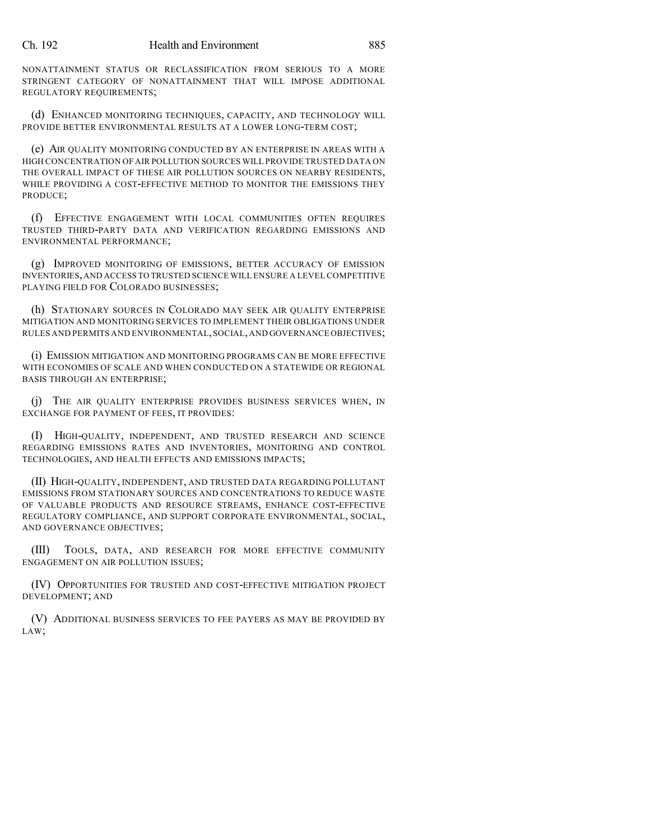NONATTAINMENT STATUS OR RECLASSIFICATION FROM SERIOUS TO A MORE STRINGENT CATEGORY OF NONATTAINMENT THAT WILL IMPOSE ADDITIONAL REGULATORY REQUIREMENTS;

(d) ENHANCED MONITORING TECHNIQUES, CAPACITY, AND TECHNOLOGY WILL PROVIDE BETTER ENVIRONMENTAL RESULTS AT A LOWER LONG-TERM COST;

(e) AIR QUALITY MONITORING CONDUCTED BY AN ENTERPRISE IN AREAS WITH A HIGH CONCENTRATION OFAIR POLLUTION SOURCES WILL PROVIDE TRUSTED DATA ON THE OVERALL IMPACT OF THESE AIR POLLUTION SOURCES ON NEARBY RESIDENTS, WHILE PROVIDING A COST-EFFECTIVE METHOD TO MONITOR THE EMISSIONS THEY PRODUCE;

(f) EFFECTIVE ENGAGEMENT WITH LOCAL COMMUNITIES OFTEN REQUIRES TRUSTED THIRD-PARTY DATA AND VERIFICATION REGARDING EMISSIONS AND ENVIRONMENTAL PERFORMANCE;

(g) IMPROVED MONITORING OF EMISSIONS, BETTER ACCURACY OF EMISSION INVENTORIES,AND ACCESS TO TRUSTED SCIENCE WILL ENSURE A LEVEL COMPETITIVE PLAYING FIELD FOR COLORADO BUSINESSES;

(h) STATIONARY SOURCES IN COLORADO MAY SEEK AIR QUALITY ENTERPRISE MITIGATION AND MONITORING SERVICES TO IMPLEMENT THEIR OBLIGATIONS UNDER RULES AND PERMITS AND ENVIRONMENTAL,SOCIAL,AND GOVERNANCE OBJECTIVES;

(i) EMISSION MITIGATION AND MONITORING PROGRAMS CAN BE MORE EFFECTIVE WITH ECONOMIES OF SCALE AND WHEN CONDUCTED ON A STATEWIDE OR REGIONAL BASIS THROUGH AN ENTERPRISE;

(j) THE AIR QUALITY ENTERPRISE PROVIDES BUSINESS SERVICES WHEN, IN EXCHANGE FOR PAYMENT OF FEES, IT PROVIDES:

(I) HIGH-QUALITY, INDEPENDENT, AND TRUSTED RESEARCH AND SCIENCE REGARDING EMISSIONS RATES AND INVENTORIES, MONITORING AND CONTROL TECHNOLOGIES, AND HEALTH EFFECTS AND EMISSIONS IMPACTS;

(II) HIGH-QUALITY, INDEPENDENT, AND TRUSTED DATA REGARDING POLLUTANT EMISSIONS FROM STATIONARY SOURCES AND CONCENTRATIONS TO REDUCE WASTE OF VALUABLE PRODUCTS AND RESOURCE STREAMS, ENHANCE COST-EFFECTIVE REGULATORY COMPLIANCE, AND SUPPORT CORPORATE ENVIRONMENTAL, SOCIAL, AND GOVERNANCE OBJECTIVES;

(III) TOOLS, DATA, AND RESEARCH FOR MORE EFFECTIVE COMMUNITY ENGAGEMENT ON AIR POLLUTION ISSUES;

(IV) OPPORTUNITIES FOR TRUSTED AND COST-EFFECTIVE MITIGATION PROJECT DEVELOPMENT; AND

(V) ADDITIONAL BUSINESS SERVICES TO FEE PAYERS AS MAY BE PROVIDED BY LAW;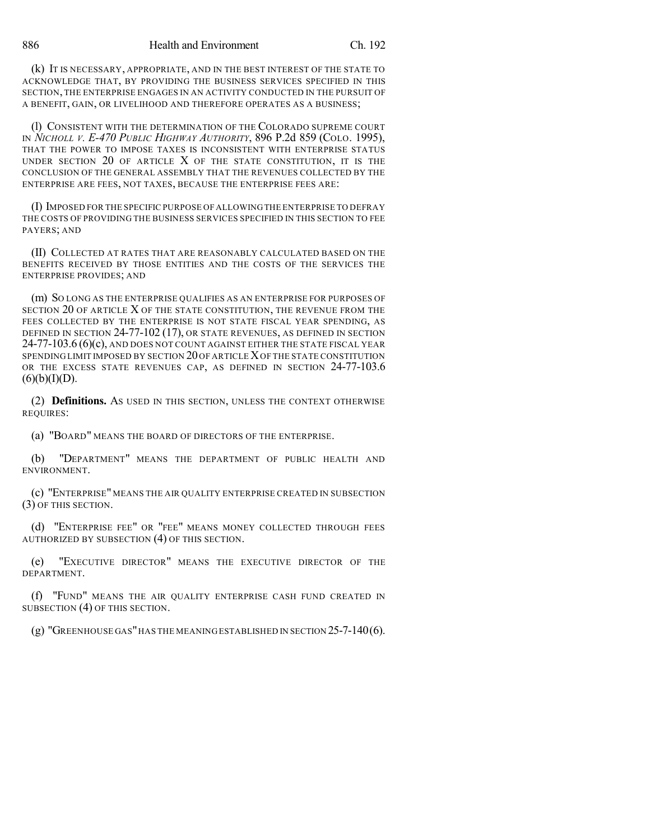(k) IT IS NECESSARY, APPROPRIATE, AND IN THE BEST INTEREST OF THE STATE TO ACKNOWLEDGE THAT, BY PROVIDING THE BUSINESS SERVICES SPECIFIED IN THIS SECTION, THE ENTERPRISE ENGAGES IN AN ACTIVITY CONDUCTED IN THE PURSUIT OF A BENEFIT, GAIN, OR LIVELIHOOD AND THEREFORE OPERATES AS A BUSINESS;

(l) CONSISTENT WITH THE DETERMINATION OF THE COLORADO SUPREME COURT IN *NICHOLL V. E-470 PUBLIC HIGHWAY AUTHORITY*, 896 P.2d 859 (COLO. 1995), THAT THE POWER TO IMPOSE TAXES IS INCONSISTENT WITH ENTERPRISE STATUS UNDER SECTION  $20$  OF ARTICLE  $X$  OF THE STATE CONSTITUTION, IT IS THE CONCLUSION OF THE GENERAL ASSEMBLY THAT THE REVENUES COLLECTED BY THE ENTERPRISE ARE FEES, NOT TAXES, BECAUSE THE ENTERPRISE FEES ARE:

(I) IMPOSED FOR THE SPECIFIC PURPOSE OF ALLOWINGTHE ENTERPRISE TO DEFRAY THE COSTS OF PROVIDING THE BUSINESS SERVICES SPECIFIED IN THIS SECTION TO FEE PAYERS; AND

(II) COLLECTED AT RATES THAT ARE REASONABLY CALCULATED BASED ON THE BENEFITS RECEIVED BY THOSE ENTITIES AND THE COSTS OF THE SERVICES THE ENTERPRISE PROVIDES; AND

(m) SO LONG AS THE ENTERPRISE QUALIFIES AS AN ENTERPRISE FOR PURPOSES OF SECTION 20 OF ARTICLE X OF THE STATE CONSTITUTION, THE REVENUE FROM THE FEES COLLECTED BY THE ENTERPRISE IS NOT STATE FISCAL YEAR SPENDING, AS DEFINED IN SECTION 24-77-102 (17), OR STATE REVENUES, AS DEFINED IN SECTION  $24$ -77-103.6 (6)(c), and does not count against either the state fiscal year SPENDING LIMIT IMPOSED BY SECTION 20 OF ARTICLE XOF THE STATE CONSTITUTION OR THE EXCESS STATE REVENUES CAP, AS DEFINED IN SECTION 24-77-103.6  $(6)(b)(I)(D).$ 

(2) **Definitions.** AS USED IN THIS SECTION, UNLESS THE CONTEXT OTHERWISE REQUIRES:

(a) "BOARD" MEANS THE BOARD OF DIRECTORS OF THE ENTERPRISE.

(b) "DEPARTMENT" MEANS THE DEPARTMENT OF PUBLIC HEALTH AND ENVIRONMENT.

(c) "ENTERPRISE" MEANS THE AIR QUALITY ENTERPRISE CREATED IN SUBSECTION (3) OF THIS SECTION.

(d) "ENTERPRISE FEE" OR "FEE" MEANS MONEY COLLECTED THROUGH FEES AUTHORIZED BY SUBSECTION (4) OF THIS SECTION.

(e) "EXECUTIVE DIRECTOR" MEANS THE EXECUTIVE DIRECTOR OF THE DEPARTMENT.

(f) "FUND" MEANS THE AIR QUALITY ENTERPRISE CASH FUND CREATED IN SUBSECTION (4) OF THIS SECTION.

(g) "GREENHOUSE GAS"HAS THE MEANING ESTABLISHED IN SECTION 25-7-140(6).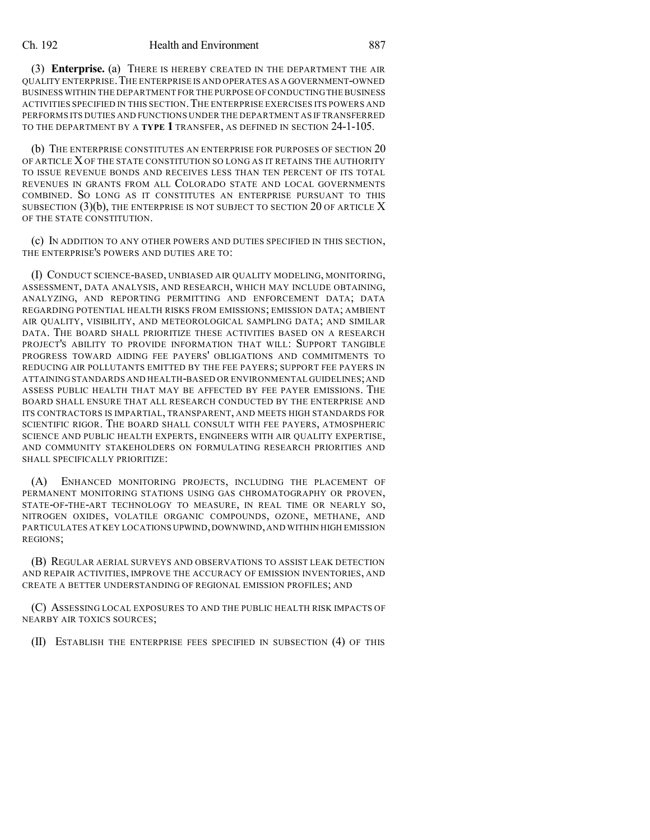(3) **Enterprise.** (a) THERE IS HEREBY CREATED IN THE DEPARTMENT THE AIR QUALITY ENTERPRISE.THE ENTERPRISE IS AND OPERATES AS A GOVERNMENT-OWNED BUSINESS WITHIN THE DEPARTMENT FOR THE PURPOSE OF CONDUCTINGTHEBUSINESS ACTIVITIES SPECIFIED IN THIS SECTION.THE ENTERPRISE EXERCISES ITS POWERS AND PERFORMS ITS DUTIES AND FUNCTIONS UNDER THE DEPARTMENT AS IF TRANSFERRED TO THE DEPARTMENT BY A **TYPE 1** TRANSFER, AS DEFINED IN SECTION 24-1-105.

(b) THE ENTERPRISE CONSTITUTES AN ENTERPRISE FOR PURPOSES OF SECTION 20 OF ARTICLE X OF THE STATE CONSTITUTION SO LONG AS IT RETAINS THE AUTHORITY TO ISSUE REVENUE BONDS AND RECEIVES LESS THAN TEN PERCENT OF ITS TOTAL REVENUES IN GRANTS FROM ALL COLORADO STATE AND LOCAL GOVERNMENTS COMBINED. SO LONG AS IT CONSTITUTES AN ENTERPRISE PURSUANT TO THIS SUBSECTION  $(3)(b)$ , THE ENTERPRISE IS NOT SUBJECT TO SECTION 20 OF ARTICLE X OF THE STATE CONSTITUTION.

(c) IN ADDITION TO ANY OTHER POWERS AND DUTIES SPECIFIED IN THIS SECTION, THE ENTERPRISE'S POWERS AND DUTIES ARE TO:

(I) CONDUCT SCIENCE-BASED, UNBIASED AIR QUALITY MODELING, MONITORING, ASSESSMENT, DATA ANALYSIS, AND RESEARCH, WHICH MAY INCLUDE OBTAINING, ANALYZING, AND REPORTING PERMITTING AND ENFORCEMENT DATA; DATA REGARDING POTENTIAL HEALTH RISKS FROM EMISSIONS; EMISSION DATA; AMBIENT AIR QUALITY, VISIBILITY, AND METEOROLOGICAL SAMPLING DATA; AND SIMILAR DATA. THE BOARD SHALL PRIORITIZE THESE ACTIVITIES BASED ON A RESEARCH PROJECT'S ABILITY TO PROVIDE INFORMATION THAT WILL: SUPPORT TANGIBLE PROGRESS TOWARD AIDING FEE PAYERS' OBLIGATIONS AND COMMITMENTS TO REDUCING AIR POLLUTANTS EMITTED BY THE FEE PAYERS; SUPPORT FEE PAYERS IN ATTAINING STANDARDS AND HEALTH-BASED OR ENVIRONMENTAL GUIDELINES;AND ASSESS PUBLIC HEALTH THAT MAY BE AFFECTED BY FEE PAYER EMISSIONS. THE BOARD SHALL ENSURE THAT ALL RESEARCH CONDUCTED BY THE ENTERPRISE AND ITS CONTRACTORS IS IMPARTIAL, TRANSPARENT, AND MEETS HIGH STANDARDS FOR SCIENTIFIC RIGOR. THE BOARD SHALL CONSULT WITH FEE PAYERS, ATMOSPHERIC SCIENCE AND PUBLIC HEALTH EXPERTS, ENGINEERS WITH AIR QUALITY EXPERTISE, AND COMMUNITY STAKEHOLDERS ON FORMULATING RESEARCH PRIORITIES AND SHALL SPECIFICALLY PRIORITIZE:

(A) ENHANCED MONITORING PROJECTS, INCLUDING THE PLACEMENT OF PERMANENT MONITORING STATIONS USING GAS CHROMATOGRAPHY OR PROVEN, STATE-OF-THE-ART TECHNOLOGY TO MEASURE, IN REAL TIME OR NEARLY SO, NITROGEN OXIDES, VOLATILE ORGANIC COMPOUNDS, OZONE, METHANE, AND PARTICULATES AT KEY LOCATIONS UPWIND,DOWNWIND,AND WITHIN HIGH EMISSION REGIONS;

(B) REGULAR AERIAL SURVEYS AND OBSERVATIONS TO ASSIST LEAK DETECTION AND REPAIR ACTIVITIES, IMPROVE THE ACCURACY OF EMISSION INVENTORIES, AND CREATE A BETTER UNDERSTANDING OF REGIONAL EMISSION PROFILES; AND

(C) ASSESSING LOCAL EXPOSURES TO AND THE PUBLIC HEALTH RISK IMPACTS OF NEARBY AIR TOXICS SOURCES;

(II) ESTABLISH THE ENTERPRISE FEES SPECIFIED IN SUBSECTION (4) OF THIS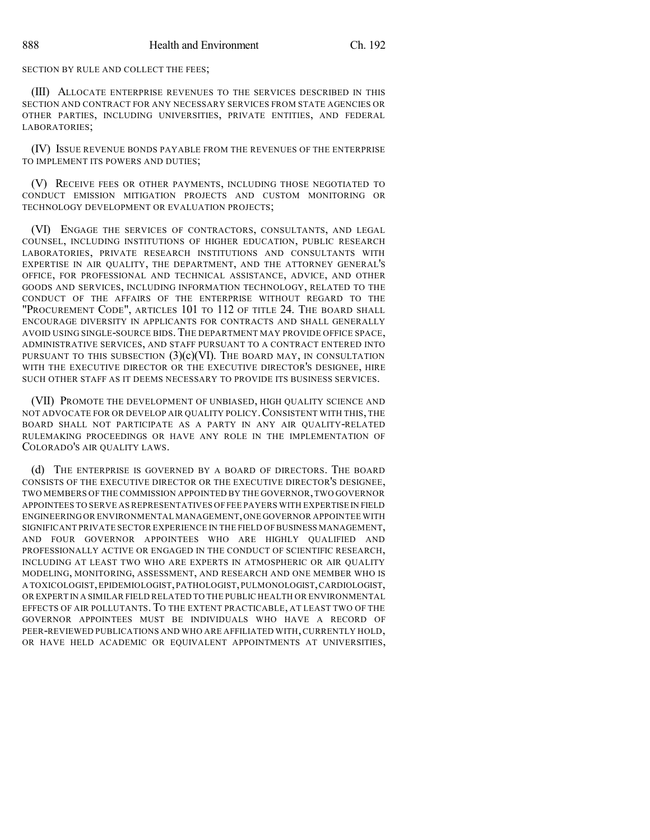## SECTION BY RULE AND COLLECT THE FEES;

(III) ALLOCATE ENTERPRISE REVENUES TO THE SERVICES DESCRIBED IN THIS SECTION AND CONTRACT FOR ANY NECESSARY SERVICES FROM STATE AGENCIES OR OTHER PARTIES, INCLUDING UNIVERSITIES, PRIVATE ENTITIES, AND FEDERAL LABORATORIES;

(IV) ISSUE REVENUE BONDS PAYABLE FROM THE REVENUES OF THE ENTERPRISE TO IMPLEMENT ITS POWERS AND DUTIES;

(V) RECEIVE FEES OR OTHER PAYMENTS, INCLUDING THOSE NEGOTIATED TO CONDUCT EMISSION MITIGATION PROJECTS AND CUSTOM MONITORING OR TECHNOLOGY DEVELOPMENT OR EVALUATION PROJECTS;

(VI) ENGAGE THE SERVICES OF CONTRACTORS, CONSULTANTS, AND LEGAL COUNSEL, INCLUDING INSTITUTIONS OF HIGHER EDUCATION, PUBLIC RESEARCH LABORATORIES, PRIVATE RESEARCH INSTITUTIONS AND CONSULTANTS WITH EXPERTISE IN AIR QUALITY, THE DEPARTMENT, AND THE ATTORNEY GENERAL'S OFFICE, FOR PROFESSIONAL AND TECHNICAL ASSISTANCE, ADVICE, AND OTHER GOODS AND SERVICES, INCLUDING INFORMATION TECHNOLOGY, RELATED TO THE CONDUCT OF THE AFFAIRS OF THE ENTERPRISE WITHOUT REGARD TO THE "PROCUREMENT CODE", ARTICLES 101 TO 112 OF TITLE 24. THE BOARD SHALL ENCOURAGE DIVERSITY IN APPLICANTS FOR CONTRACTS AND SHALL GENERALLY AVOID USING SINGLE-SOURCE BIDS.THE DEPARTMENT MAY PROVIDE OFFICE SPACE, ADMINISTRATIVE SERVICES, AND STAFF PURSUANT TO A CONTRACT ENTERED INTO PURSUANT TO THIS SUBSECTION  $(3)(c)(VI)$ . The BOARD MAY, IN CONSULTATION WITH THE EXECUTIVE DIRECTOR OR THE EXECUTIVE DIRECTOR'S DESIGNEE, HIRE SUCH OTHER STAFF AS IT DEEMS NECESSARY TO PROVIDE ITS BUSINESS SERVICES.

(VII) PROMOTE THE DEVELOPMENT OF UNBIASED, HIGH QUALITY SCIENCE AND NOT ADVOCATE FOR OR DEVELOP AIR QUALITY POLICY.CONSISTENT WITH THIS, THE BOARD SHALL NOT PARTICIPATE AS A PARTY IN ANY AIR QUALITY-RELATED RULEMAKING PROCEEDINGS OR HAVE ANY ROLE IN THE IMPLEMENTATION OF COLORADO'S AIR QUALITY LAWS.

(d) THE ENTERPRISE IS GOVERNED BY A BOARD OF DIRECTORS. THE BOARD CONSISTS OF THE EXECUTIVE DIRECTOR OR THE EXECUTIVE DIRECTOR'S DESIGNEE, TWO MEMBERS OF THE COMMISSION APPOINTED BY THE GOVERNOR,TWO GOVERNOR APPOINTEES TO SERVE AS REPRESENTATIVES OF FEE PAYERS WITH EXPERTISE IN FIELD ENGINEERING OR ENVIRONMENTAL MANAGEMENT,ONE GOVERNOR APPOINTEE WITH SIGNIFICANT PRIVATE SECTOR EXPERIENCE IN THE FIELD OF BUSINESS MANAGEMENT, AND FOUR GOVERNOR APPOINTEES WHO ARE HIGHLY QUALIFIED AND PROFESSIONALLY ACTIVE OR ENGAGED IN THE CONDUCT OF SCIENTIFIC RESEARCH, INCLUDING AT LEAST TWO WHO ARE EXPERTS IN ATMOSPHERIC OR AIR QUALITY MODELING, MONITORING, ASSESSMENT, AND RESEARCH AND ONE MEMBER WHO IS A TOXICOLOGIST,EPIDEMIOLOGIST,PATHOLOGIST,PULMONOLOGIST,CARDIOLOGIST, OR EXPERT IN A SIMILAR FIELD RELATED TO THE PUBLIC HEALTH OR ENVIRONMENTAL EFFECTS OF AIR POLLUTANTS. TO THE EXTENT PRACTICABLE, AT LEAST TWO OF THE GOVERNOR APPOINTEES MUST BE INDIVIDUALS WHO HAVE A RECORD OF PEER-REVIEWED PUBLICATIONS AND WHO ARE AFFILIATED WITH,CURRENTLY HOLD, OR HAVE HELD ACADEMIC OR EQUIVALENT APPOINTMENTS AT UNIVERSITIES,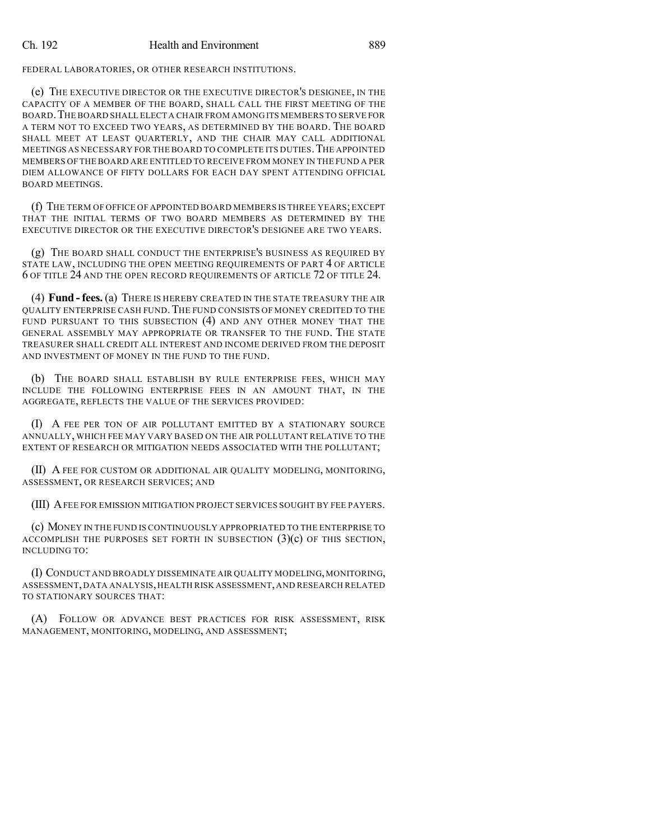FEDERAL LABORATORIES, OR OTHER RESEARCH INSTITUTIONS.

(e) THE EXECUTIVE DIRECTOR OR THE EXECUTIVE DIRECTOR'S DESIGNEE, IN THE CAPACITY OF A MEMBER OF THE BOARD, SHALL CALL THE FIRST MEETING OF THE BOARD.THE BOARD SHALL ELECT A CHAIR FROM AMONG ITS MEMBERS TO SERVE FOR A TERM NOT TO EXCEED TWO YEARS, AS DETERMINED BY THE BOARD. THE BOARD SHALL MEET AT LEAST QUARTERLY, AND THE CHAIR MAY CALL ADDITIONAL MEETINGS AS NECESSARY FOR THE BOARD TO COMPLETE ITS DUTIES. THE APPOINTED MEMBERS OF THE BOARD ARE ENTITLED TO RECEIVE FROM MONEY IN THE FUND A PER DIEM ALLOWANCE OF FIFTY DOLLARS FOR EACH DAY SPENT ATTENDING OFFICIAL BOARD MEETINGS.

(f) THE TERM OF OFFICE OF APPOINTED BOARD MEMBERS IS THREE YEARS;EXCEPT THAT THE INITIAL TERMS OF TWO BOARD MEMBERS AS DETERMINED BY THE EXECUTIVE DIRECTOR OR THE EXECUTIVE DIRECTOR'S DESIGNEE ARE TWO YEARS.

(g) THE BOARD SHALL CONDUCT THE ENTERPRISE'S BUSINESS AS REQUIRED BY STATE LAW, INCLUDING THE OPEN MEETING REQUIREMENTS OF PART 4 OF ARTICLE 6 OF TITLE 24 AND THE OPEN RECORD REQUIREMENTS OF ARTICLE 72 OF TITLE 24.

(4) **Fund - fees.** (a) THERE IS HEREBY CREATED IN THE STATE TREASURY THE AIR QUALITY ENTERPRISE CASH FUND.THE FUND CONSISTS OF MONEY CREDITED TO THE FUND PURSUANT TO THIS SUBSECTION (4) AND ANY OTHER MONEY THAT THE GENERAL ASSEMBLY MAY APPROPRIATE OR TRANSFER TO THE FUND. THE STATE TREASURER SHALL CREDIT ALL INTEREST AND INCOME DERIVED FROM THE DEPOSIT AND INVESTMENT OF MONEY IN THE FUND TO THE FUND.

(b) THE BOARD SHALL ESTABLISH BY RULE ENTERPRISE FEES, WHICH MAY INCLUDE THE FOLLOWING ENTERPRISE FEES IN AN AMOUNT THAT, IN THE AGGREGATE, REFLECTS THE VALUE OF THE SERVICES PROVIDED:

(I) A FEE PER TON OF AIR POLLUTANT EMITTED BY A STATIONARY SOURCE ANNUALLY, WHICH FEE MAY VARY BASED ON THE AIR POLLUTANT RELATIVE TO THE EXTENT OF RESEARCH OR MITIGATION NEEDS ASSOCIATED WITH THE POLLUTANT;

(II) A FEE FOR CUSTOM OR ADDITIONAL AIR QUALITY MODELING, MONITORING, ASSESSMENT, OR RESEARCH SERVICES; AND

(III) AFEE FOR EMISSION MITIGATION PROJECT SERVICES SOUGHT BY FEE PAYERS.

(c) MONEY IN THE FUND IS CONTINUOUSLY APPROPRIATED TO THE ENTERPRISE TO ACCOMPLISH THE PURPOSES SET FORTH IN SUBSECTION  $(3)(c)$  OF THIS SECTION, INCLUDING TO:

(I) CONDUCT AND BROADLY DISSEMINATE AIR QUALITY MODELING, MONITORING, ASSESSMENT,DATA ANALYSIS,HEALTH RISK ASSESSMENT,AND RESEARCH RELATED TO STATIONARY SOURCES THAT:

(A) FOLLOW OR ADVANCE BEST PRACTICES FOR RISK ASSESSMENT, RISK MANAGEMENT, MONITORING, MODELING, AND ASSESSMENT;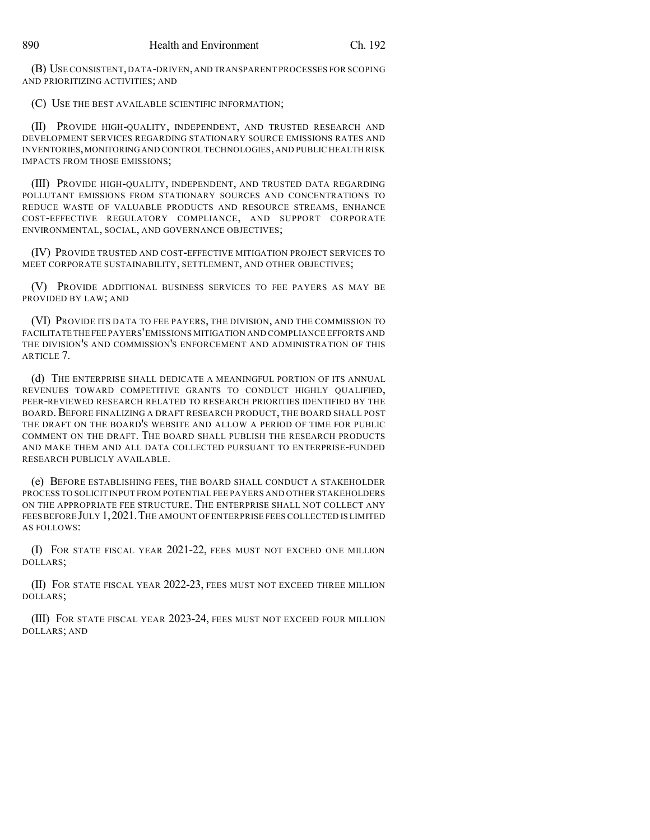(B) USE CONSISTENT,DATA-DRIVEN,AND TRANSPARENT PROCESSES FOR SCOPING AND PRIORITIZING ACTIVITIES; AND

(C) USE THE BEST AVAILABLE SCIENTIFIC INFORMATION;

(II) PROVIDE HIGH-QUALITY, INDEPENDENT, AND TRUSTED RESEARCH AND DEVELOPMENT SERVICES REGARDING STATIONARY SOURCE EMISSIONS RATES AND INVENTORIES,MONITORINGAND CONTROL TECHNOLOGIES,AND PUBLIC HEALTH RISK IMPACTS FROM THOSE EMISSIONS;

(III) PROVIDE HIGH-QUALITY, INDEPENDENT, AND TRUSTED DATA REGARDING POLLUTANT EMISSIONS FROM STATIONARY SOURCES AND CONCENTRATIONS TO REDUCE WASTE OF VALUABLE PRODUCTS AND RESOURCE STREAMS, ENHANCE COST-EFFECTIVE REGULATORY COMPLIANCE, AND SUPPORT CORPORATE ENVIRONMENTAL, SOCIAL, AND GOVERNANCE OBJECTIVES;

(IV) PROVIDE TRUSTED AND COST-EFFECTIVE MITIGATION PROJECT SERVICES TO MEET CORPORATE SUSTAINABILITY, SETTLEMENT, AND OTHER OBJECTIVES;

(V) PROVIDE ADDITIONAL BUSINESS SERVICES TO FEE PAYERS AS MAY BE PROVIDED BY LAW; AND

(VI) PROVIDE ITS DATA TO FEE PAYERS, THE DIVISION, AND THE COMMISSION TO FACILITATE THE FEE PAYERS'EMISSIONS MITIGATION AND COMPLIANCE EFFORTS AND THE DIVISION'S AND COMMISSION'S ENFORCEMENT AND ADMINISTRATION OF THIS ARTICLE 7.

(d) THE ENTERPRISE SHALL DEDICATE A MEANINGFUL PORTION OF ITS ANNUAL REVENUES TOWARD COMPETITIVE GRANTS TO CONDUCT HIGHLY QUALIFIED, PEER-REVIEWED RESEARCH RELATED TO RESEARCH PRIORITIES IDENTIFIED BY THE BOARD. BEFORE FINALIZING A DRAFT RESEARCH PRODUCT, THE BOARD SHALL POST THE DRAFT ON THE BOARD'S WEBSITE AND ALLOW A PERIOD OF TIME FOR PUBLIC COMMENT ON THE DRAFT. THE BOARD SHALL PUBLISH THE RESEARCH PRODUCTS AND MAKE THEM AND ALL DATA COLLECTED PURSUANT TO ENTERPRISE-FUNDED RESEARCH PUBLICLY AVAILABLE.

(e) BEFORE ESTABLISHING FEES, THE BOARD SHALL CONDUCT A STAKEHOLDER PROCESS TO SOLICIT INPUT FROM POTENTIAL FEE PAYERS AND OTHER STAKEHOLDERS ON THE APPROPRIATE FEE STRUCTURE. THE ENTERPRISE SHALL NOT COLLECT ANY FEES BEFORE JULY 1, 2021. THE AMOUNT OF ENTERPRISE FEES COLLECTED IS LIMITED AS FOLLOWS:

(I) FOR STATE FISCAL YEAR 2021-22, FEES MUST NOT EXCEED ONE MILLION DOLLARS;

(II) FOR STATE FISCAL YEAR 2022-23, FEES MUST NOT EXCEED THREE MILLION DOLLARS;

(III) FOR STATE FISCAL YEAR 2023-24, FEES MUST NOT EXCEED FOUR MILLION DOLLARS; AND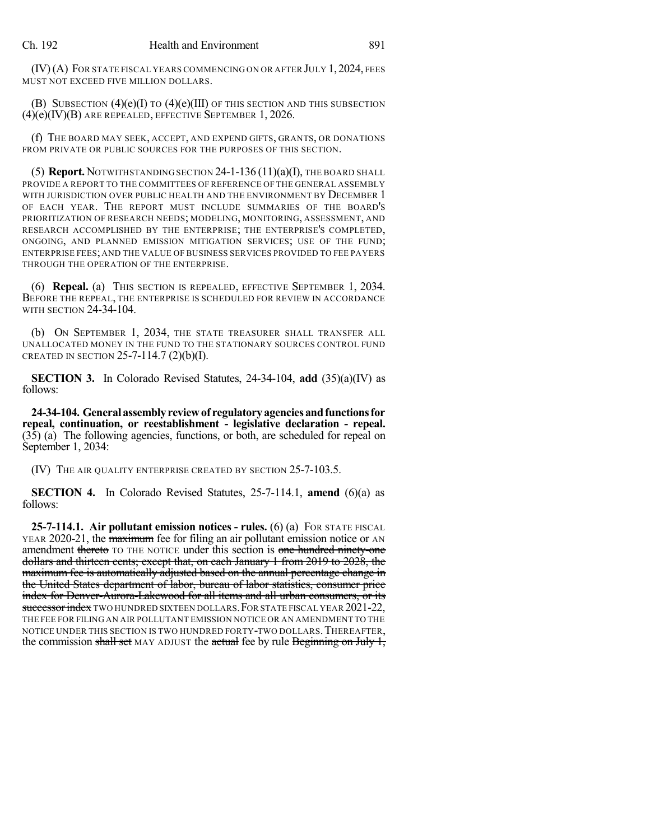(IV)(A) FOR STATE FISCAL YEARS COMMENCING ON OR AFTER JULY 1,2024, FEES MUST NOT EXCEED FIVE MILLION DOLLARS.

(B) SUBSECTION  $(4)(e)(I)$  TO  $(4)(e)(III)$  OF THIS SECTION AND THIS SUBSECTION (4)(e)(IV)(B) ARE REPEALED, EFFECTIVE SEPTEMBER 1, 2026.

(f) THE BOARD MAY SEEK, ACCEPT, AND EXPEND GIFTS, GRANTS, OR DONATIONS FROM PRIVATE OR PUBLIC SOURCES FOR THE PURPOSES OF THIS SECTION.

(5) **Report.** NOTWITHSTANDING SECTION  $24-1-136(11)(a)(I)$ , THE BOARD SHALL PROVIDE A REPORT TO THE COMMITTEES OF REFERENCE OF THE GENERAL ASSEMBLY WITH JURISDICTION OVER PUBLIC HEALTH AND THE ENVIRONMENT BY DECEMBER 1 OF EACH YEAR. THE REPORT MUST INCLUDE SUMMARIES OF THE BOARD'S PRIORITIZATION OF RESEARCH NEEDS; MODELING, MONITORING, ASSESSMENT, AND RESEARCH ACCOMPLISHED BY THE ENTERPRISE; THE ENTERPRISE'S COMPLETED, ONGOING, AND PLANNED EMISSION MITIGATION SERVICES; USE OF THE FUND; ENTERPRISE FEES; AND THE VALUE OF BUSINESS SERVICES PROVIDED TO FEE PAYERS THROUGH THE OPERATION OF THE ENTERPRISE.

(6) **Repeal.** (a) THIS SECTION IS REPEALED, EFFECTIVE SEPTEMBER 1, 2034. BEFORE THE REPEAL, THE ENTERPRISE IS SCHEDULED FOR REVIEW IN ACCORDANCE WITH SECTION 24-34-104.

(b) ON SEPTEMBER 1, 2034, THE STATE TREASURER SHALL TRANSFER ALL UNALLOCATED MONEY IN THE FUND TO THE STATIONARY SOURCES CONTROL FUND CREATED IN SECTION 25-7-114.7  $(2)(b)(I)$ .

**SECTION 3.** In Colorado Revised Statutes, 24-34-104, **add** (35)(a)(IV) as follows:

**24-34-104. General assemblyreviewof regulatoryagenciesandfunctionsfor repeal, continuation, or reestablishment - legislative declaration - repeal.** (35) (a) The following agencies, functions, or both, are scheduled for repeal on September 1, 2034:

(IV) THE AIR QUALITY ENTERPRISE CREATED BY SECTION 25-7-103.5.

**SECTION 4.** In Colorado Revised Statutes, 25-7-114.1, **amend** (6)(a) as follows:

**25-7-114.1. Air pollutant emission notices - rules.** (6) (a) FOR STATE FISCAL YEAR 2020-21, the **maximum** fee for filing an air pollutant emission notice or AN amendment thereto TO THE NOTICE under this section is one hundred ninety-one dollars and thirteen cents; except that, on each January 1 from 2019 to 2028, the maximum fee is automatically adjusted based on the annual percentage change in the United States department of labor, bureau of labor statistics, consumer price index for Denver-Aurora-Lakewood for all items and all urban consumers, or its successor index TWO HUNDRED SIXTEEN DOLLARS. FOR STATE FISCAL YEAR 2021-22, THE FEE FOR FILING AN AIR POLLUTANT EMISSION NOTICE OR AN AMENDMENT TO THE NOTICE UNDER THIS SECTION IS TWO HUNDRED FORTY-TWO DOLLARS. THEREAFTER, the commission shall set MAY ADJUST the actual fee by rule Beginning on July 1,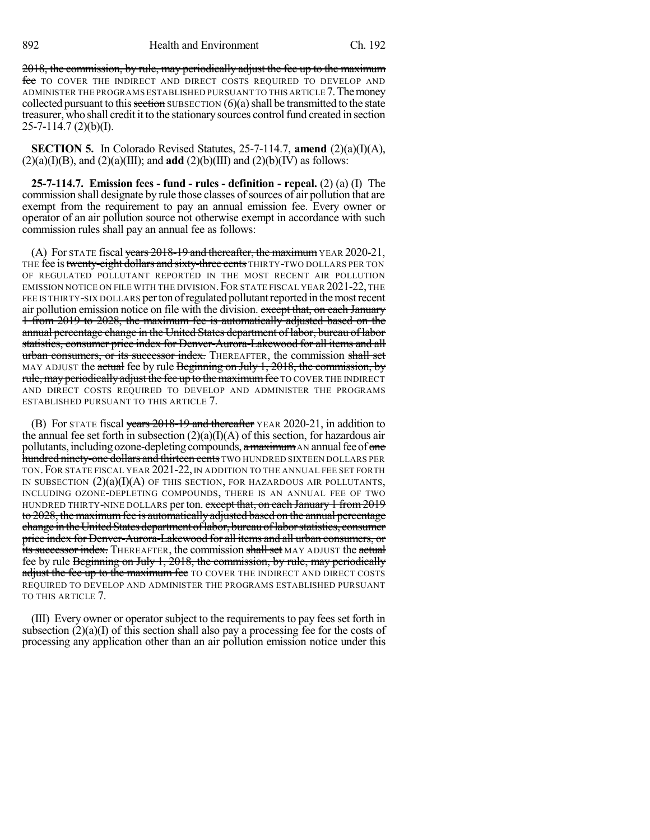2018, the commission, by rule, may periodically adjust the fee up to the maximum fee TO COVER THE INDIRECT AND DIRECT COSTS REQUIRED TO DEVELOP AND ADMINISTER THE PROGRAMS ESTABLISHED PURSUANT TO THIS ARTICLE 7.Themoney collected pursuant to this section SUBSECTION  $(6)(a)$  shall be transmitted to the state treasurer, who shall credit it to the stationary sources control fund created in section  $25 - 7 - 114.7$  (2)(b)(I).

**SECTION 5.** In Colorado Revised Statutes, 25-7-114.7, **amend** (2)(a)(I)(A),  $(2)(a)(I)(B)$ , and  $(2)(a)(III)$ ; and **add**  $(2)(b)(III)$  and  $(2)(b)(IV)$  as follows:

**25-7-114.7. Emission fees - fund - rules - definition - repeal.** (2) (a) (I) The commission shall designate by rule those classes of sources of air pollution that are exempt from the requirement to pay an annual emission fee. Every owner or operator of an air pollution source not otherwise exempt in accordance with such commission rules shall pay an annual fee as follows:

(A) For STATE fiscal years  $2018-19$  and thereafter, the maximum YEAR 2020-21, THE fee is twenty-eight dollars and sixty-three cents THIRTY-TWO DOLLARS PER TON OF REGULATED POLLUTANT REPORTED IN THE MOST RECENT AIR POLLUTION EMISSION NOTICE ON FILE WITH THE DIVISION. FOR STATE FISCAL YEAR 2021-22, THE FEE IS THIRTY-SIX DOLLARS per ton of regulated pollutant reported in the most recent air pollution emission notice on file with the division. except that, on each January 1 from 2019 to 2028, the maximum fee is automatically adjusted based on the annual percentage change in the United States department of labor, bureau of labor statistics, consumer price index for Denver-Aurora-Lakewood for all items and all urban consumers, or its successor index. THEREAFTER, the commission shall set MAY ADJUST the actual fee by rule Beginning on July 1, 2018, the commission, by rule, may periodically adjust the fee up to the maximum fee TO COVER THE INDIRECT AND DIRECT COSTS REQUIRED TO DEVELOP AND ADMINISTER THE PROGRAMS ESTABLISHED PURSUANT TO THIS ARTICLE 7.

(B) For STATE fiscal years 2018-19 and thereafter YEAR 2020-21, in addition to the annual fee set forth in subsection  $(2)(a)(I)(A)$  of this section, for hazardous air pollutants, including ozone-depleting compounds, a maximum AN annual fee of one hundred ninety-one dollars and thirteen cents TWO HUNDRED SIXTEEN DOLLARS PER TON.FOR STATE FISCAL YEAR 2021-22, IN ADDITION TO THE ANNUAL FEE SET FORTH IN SUBSECTION  $(2)(a)(I)(A)$  of this section, for HAZARDOUS AIR POLLUTANTS, INCLUDING OZONE-DEPLETING COMPOUNDS, THERE IS AN ANNUAL FEE OF TWO HUNDRED THIRTY-NINE DOLLARS per ton. except that, on each January 1 from 2019 to 2028, the maximum fee is automatically adjusted based on the annual percentage change in the United States department of labor, bureau of labor statistics, consumer price index for Denver-Aurora-Lakewood for all items and all urban consumers, or its successor index. THEREAFTER, the commission shall set MAY ADJUST the actual fee by rule Beginning on July 1, 2018, the commission, by rule, may periodically adjust the fee up to the maximum fee TO COVER THE INDIRECT AND DIRECT COSTS REQUIRED TO DEVELOP AND ADMINISTER THE PROGRAMS ESTABLISHED PURSUANT TO THIS ARTICLE 7.

(III) Every owner or operator subject to the requirements to pay fees set forth in subsection (2)(a)(I) of this section shall also pay a processing fee for the costs of processing any application other than an air pollution emission notice under this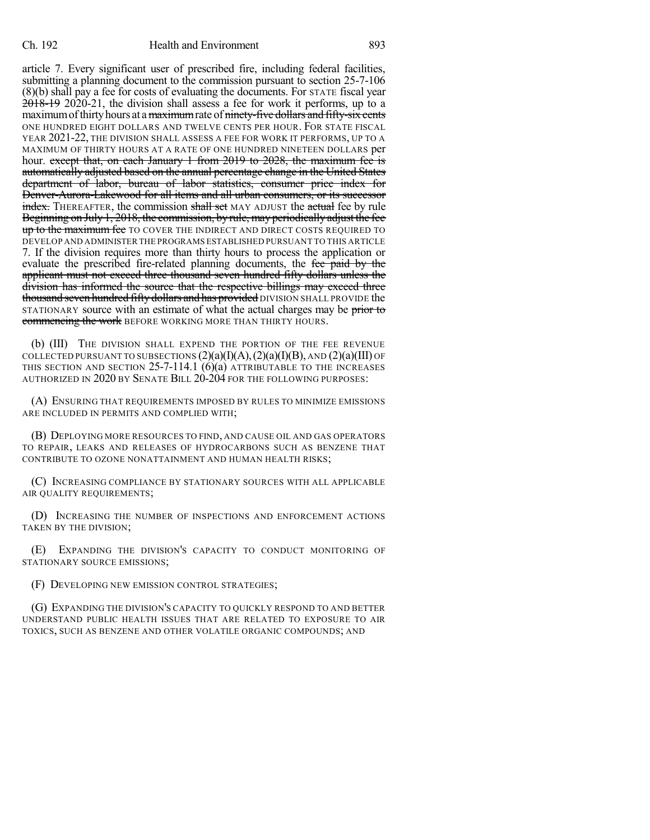article 7. Every significant user of prescribed fire, including federal facilities, submitting a planning document to the commission pursuant to section 25-7-106 (8)(b) shall pay a fee for costs of evaluating the documents. For STATE fiscal year 2018-19 2020-21, the division shall assess a fee for work it performs, up to a maximum of thirty hours at a maximum rate of ninety-five dollars and fifty-six cents ONE HUNDRED EIGHT DOLLARS AND TWELVE CENTS PER HOUR. FOR STATE FISCAL YEAR 2021-22, THE DIVISION SHALL ASSESS A FEE FOR WORK IT PERFORMS, UP TO A MAXIMUM OF THIRTY HOURS AT A RATE OF ONE HUNDRED NINETEEN DOLLARS per hour. except that, on each January 1 from 2019 to 2028, the maximum fee is automatically adjusted based on the annual percentage change in the United States department of labor, bureau of labor statistics, consumer price index for Denver-Aurora-Lakewood for all items and all urban consumers, or its successor **index.** THEREAFTER, the commission shall set MAY ADJUST the actual fee by rule Beginning on July 1, 2018, the commission, by rule, may periodically adjust the fee up to the maximum fee TO COVER THE INDIRECT AND DIRECT COSTS REQUIRED TO DEVELOP AND ADMINISTER THE PROGRAMS ESTABLISHED PURSUANT TO THIS ARTICLE 7. If the division requires more than thirty hours to process the application or evaluate the prescribed fire-related planning documents, the fee paid by the applicant must not exceed three thousand seven hundred fifty dollars unless the division has informed the source that the respective billings may exceed three thousand seven hundred fifty dollars and has provided DIVISION SHALL PROVIDE the STATIONARY source with an estimate of what the actual charges may be prior to commencing the work BEFORE WORKING MORE THAN THIRTY HOURS.

(b) (III) THE DIVISION SHALL EXPEND THE PORTION OF THE FEE REVENUE COLLECTED PURSUANT TO SUBSECTIONS  $(2)(a)(I)(A), (2)(a)(I)(B),$  AND  $(2)(a)(III)$  OF THIS SECTION AND SECTION 25-7-114.1 (6)(a) ATTRIBUTABLE TO THE INCREASES AUTHORIZED IN 2020 BY SENATE BILL 20-204 FOR THE FOLLOWING PURPOSES:

(A) ENSURING THAT REQUIREMENTS IMPOSED BY RULES TO MINIMIZE EMISSIONS ARE INCLUDED IN PERMITS AND COMPLIED WITH;

(B) DEPLOYING MORE RESOURCES TO FIND, AND CAUSE OIL AND GAS OPERATORS TO REPAIR, LEAKS AND RELEASES OF HYDROCARBONS SUCH AS BENZENE THAT CONTRIBUTE TO OZONE NONATTAINMENT AND HUMAN HEALTH RISKS;

(C) INCREASING COMPLIANCE BY STATIONARY SOURCES WITH ALL APPLICABLE AIR QUALITY REQUIREMENTS;

(D) INCREASING THE NUMBER OF INSPECTIONS AND ENFORCEMENT ACTIONS TAKEN BY THE DIVISION;

(E) EXPANDING THE DIVISION'S CAPACITY TO CONDUCT MONITORING OF STATIONARY SOURCE EMISSIONS;

(F) DEVELOPING NEW EMISSION CONTROL STRATEGIES;

(G) EXPANDING THE DIVISION'S CAPACITY TO QUICKLY RESPOND TO AND BETTER UNDERSTAND PUBLIC HEALTH ISSUES THAT ARE RELATED TO EXPOSURE TO AIR TOXICS, SUCH AS BENZENE AND OTHER VOLATILE ORGANIC COMPOUNDS; AND